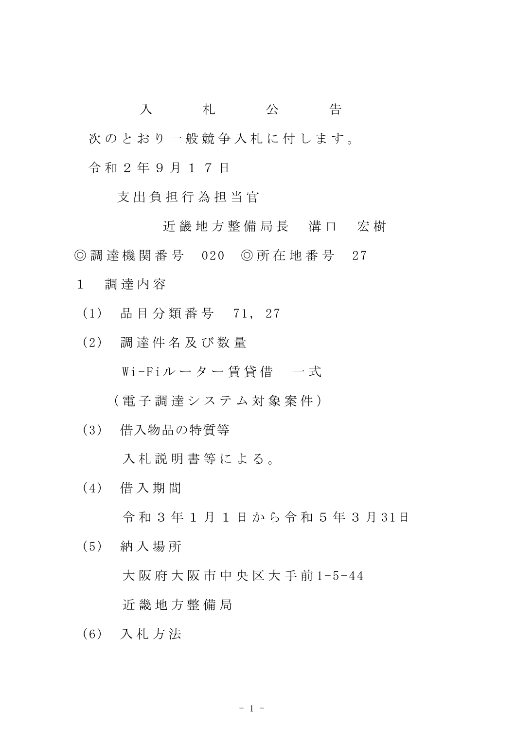入 札 公 告 次のとおり一般競争入札に付します。 令 和 2 年 9 月 1 7 日

支 出 負 担 行 為 担 当 官

近 畿 地 方 整 備 局 長 清 口 宏 樹 ◎ 調 達 機 関 番 号 020 ◎ 所 在 地 番 号 27

- 1 調 達 内 容
	- (1) 品 目 分 類 番 号 71, 27
	- (2) 調 達 件 名 及 び 数 量

Wi-Fiルーター賃貸借 一式

( 電 子 調 達 シ ス テ ム 対 象 案 件 )

(3) 借入物品の特質等

入札説明書等による。

(4) 借 入 期 間

令 和 3 年 1 月 1 日 か ら 令 和 5 年 3 月 31日

- (5) 納 入 場 所 大阪府大阪市中央区大手前1-5-44 近 畿 地 方 整 備 局
- (6) 入 札 方 法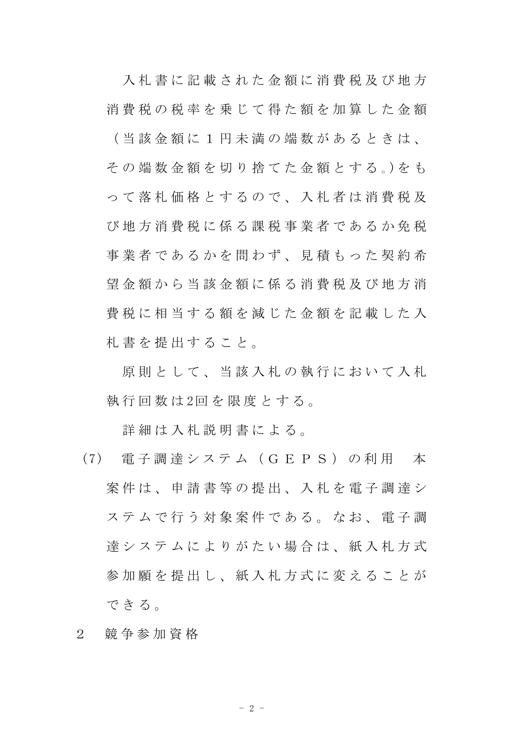入 札 書 に 記 載 さ れ た 金 額 に 消 費 税 及 び 地 方 消費税の税率を乗じて得た額を加算した金額 ( 当 該 金 額 に 1 円 未 満 の 端 数 が あ る と き は 、 その端数金額を切り捨てた金額とする。)をも っ て 落 札 価 格 と す る の で 、 入 札 者 は 消 費 税 及 び 地 方 消 費 税 に 係 る 課 税 事 業 者 で あ る か 免 税 事業者であるかを問わず、見積もった契約希 望 金 額 か ら 当 該 金 額 に 係 る 消 費 税 及 び 地 方 消 費 税 に 相 当 す る 額 を 減 じ た 金 額 を 記 載 し た 入 札 書 を 提 出 す る こ と 。

原則として、当該入札の執行において入札 執 行 回 数 は 2回 を 限 度 と す る 。

詳 細 は 入 札 説 明 書 に よ る 。

- (7) 電 子 調 達 シ ス テ ム ( G E P S ) の 利 用 本 案 件 は 、 申 請 書 等 の 提 出 、 入 札 を 電 子 調 達 シ ステムで行う対象案件である。なお、電子調 達 シ ス テ ム に よ り が た い 場 合 は 、 紙 入 札 方 式 参加願を提出し、紙入札方式に変えることが で き る 。
- 2 競 争 参 加 資 格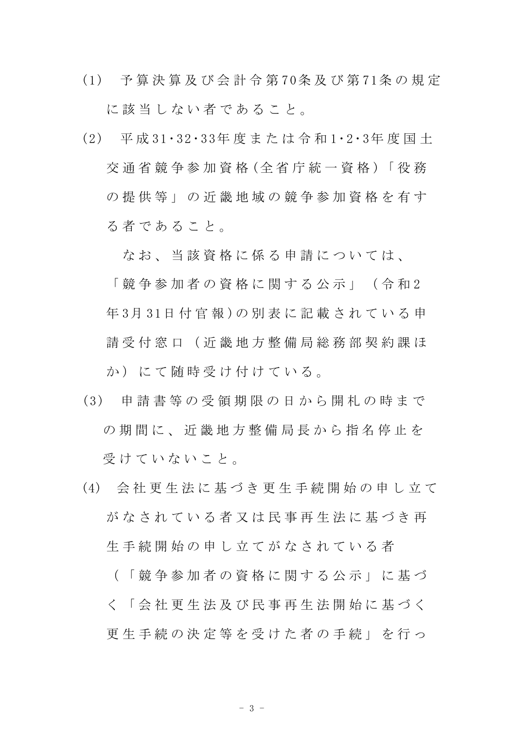- (1) 予 算 決 算 及 び 会 計 令 第 70条 及 び 第 71条 の 規 定 に該当しない者であること。
- (2) 平 成 31・32・33年 度 ま た は 令 和 1・2・3年 度 国 土 交 通 省 競 争 参 加 資 格 (全 省 庁 統 一 資 格 )「 役 務 の 提 供 等 」 の 近 畿 地 域 の 競 争 参 加 資 格 を 有 す る 者 で あ る こ と 。

なお、当該資格に係る申請については、

「 競 争 参 加 者 の 資 格 に 関 す る 公 示 」 ( 令 和 2 年 3月 31日 付 官 報 )の 別 表 に 記 載 さ れ て い る 申 請 受 付 窓 口 ( 近 畿 地 方 整 備 局 総 務 部 契 約 課 ほ か)にて随時受け付けている。

- (3) 申 請 書 等 の 受 領 期 限 の 日 か ら 開 札 の 時 ま で の 期 間 に 、 近 畿 地 方 整 備 局 長 か ら 指 名 停 止 を 受 け て い な い こ と 。
- (4) 会 社 更 生 法 に 基 づ き 更 生 手 続 開 始 の 申 し 立 て がなされている者又は民事再生決に基づき再 生 手 続 開 始 の 申 し 立 て が な さ れ て い る 者 ( 「 競 争 参 加 者 の 資 格 に 関 す る 公 示 」 に 基 づ

更 生 手 続 の 決 定 等 を 受 け た 者 の 手 続 」 を 行 っ

く 「 会 社 更 生 法 及 び 民 事 再 生 法 開 始 に 基 づ く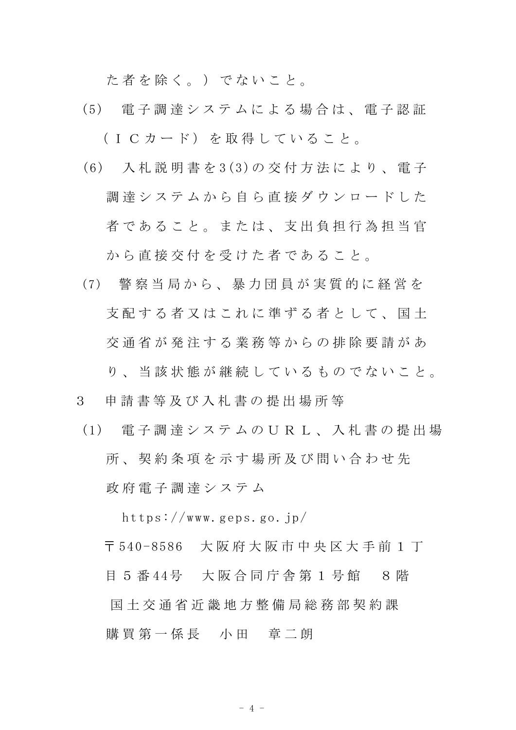た者を除く。) でないこと。

- (5) 電 子 調 達 シ ス テ ム に よ る 場 合 は 、 電 子 認 証 (ICカード)を取得していること。
- (6) 入 札 説 明 書 を 3(3)の 交 付 方 法 に よ り 、 電 子 調達システムから自ら直接ダウンロードした 者であること。または、支出負担行為担当官 から直接交付を受けた者であること。
- (7) 警 察 当 局 か ら 、 暴 力 団 員 が 実 質 的 に 経 営 を 支配する者又はこれに準ずる者として、国十 交 通 省 が 発 注 す る 業 務 等 か ら の 排 除 要 請 が あ
	- り、 当 該 状 熊 が 継 続 し て い る も の で な い こ と 。
- 3 申 請 書 等 及 び 入 札 書 の 提 出 場 所 等
- (1) 電 子 調 達 シ ス テ ム の U R L 、 入 札 書 の 提 出 場 所 、 契 約 条 項 を 示 す 場 所 及 び 問 い 合 わ せ 先 政 府 電 子 調 達 シ ス テ ム

https://www.geps.go.jp/

〒 540-8586 大 阪 府 大 阪 市 中 央 区 大 手 前 1 丁

目 5 番 44号 大阪合同庁舎第 1 号館 8階

国 土 交 通 省 近 畿 地 方 整 備 局 総 務 部 契 約 課

購買第一係長 小田 章二朗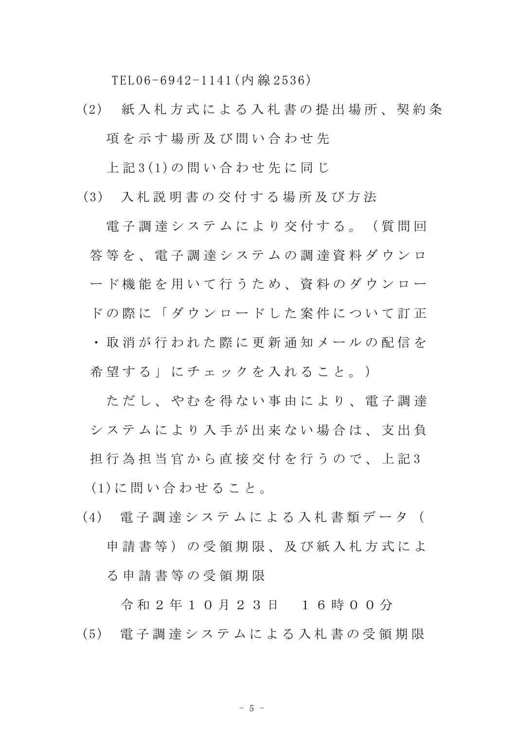TEL06-6942-1141(内 線 2536)

(2) 紙 入 札 方 式 に よ る 入 札 書 の 提 出 場 所 、 契 約 条 項を示す場所及び問い合わせ先

上 記 3(1)の 問 い 合 わ せ 先 に 同 じ

(3) 入 札 説 明 書 の 交 付 す る 場 所 及 び 方 法

電子調達システムにより交付する。(質問回 答 等 を 、 雷 子 調 達 シ ス テ ム の 調 達 資 料 ダ ウ ン ロ ード機能を用いて行うため、資料のダウンロー ドの際に「ダウンロードした案件について訂正 ・ 取 消 が 行 わ れ た 際 に 更 新 通 知 メ ー ル の 配 信 を 希望する」にチェックを入れること。)

ただし、やむを得ない事由により、電子調達 シ ス テ ム に よ り 入 手 が 出 来 な い 場 合 は 、 支 出 負 担 行 為 担 当 官 か ら 直 接 交 付 を 行 う の で 、 上 記 3 (1)に 問 い 合 わ せ る こ と 。

(4) 電 子 調 達 シ ス テ ム に よ る 入 札 書 類 デ ー タ ( 申請書等)の受領期限、及び紙入札方式によ る 申 請 書 等 の 受 領 期 限

令 和 2 年 1 0 月 2 3 日 1 6 時 0 0 分 (5) 電 子 調 達 シ ス テ ム に よ る 入 札 書 の 受 領 期 限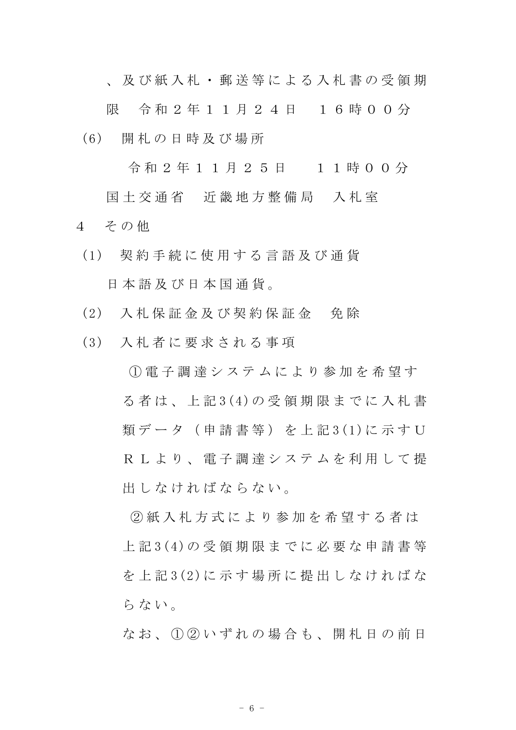、 及 び 紙 入 札 ・ 郵 送 等 に よ る 入 札 書 の 受 領 期

限 令和 2 年 1 1 月 2 4 日 1 6 時 0 0 分 (6) 開 札 の 日 時 及 び 場 所

令 和 2 年 1 1 月 2 5 日 1 1 時 0 0 分

国土交通省 近畿地方整備局 入札室 4 その他

- (1) 契 約 手 続 に 使 用 す る 言 語 及 び 通 貨 日 本 語 及 び 日 本 国 通 貨 。
- (2) 入 札 保 証 金 及 び 契 約 保 証 金 免 除
- (3) 入 札 者 に 要 求 さ れ る 事 項

 $(1)$  電 子 調 達 シ ス テ ム に よ り 参 加 を 希 望 す る 者 は 、 上 記 3(4)の 受 領 期 限 ま で に 入 札 書 類データ (申請書等) を上記3(1)に示すU R L よ り 、 電 子 調 達 シ ス テ ム を 利 用 し て 提 出 し な け れ ば な ら な い 。

② 紙 入 札 方 式 に よ り 参 加 を 希 望 す る 者 は 上 記 3(4)の 受 領 期 限 ま で に 必 要 な 申 請 書 等 を 上 記 3(2)に 示 す 場 所 に 提 出 し な け れ ば な らない。

なお、1020いずれの場合も、開札日の前日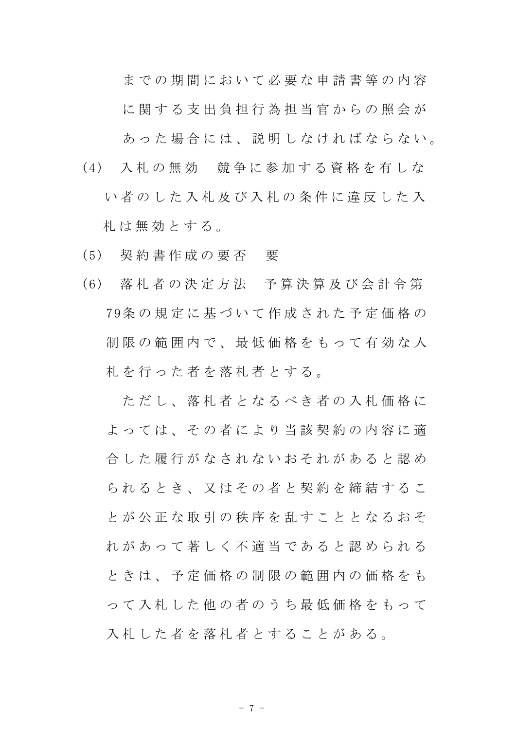までの期間において必要な申請書等の内容

に関する支出負担行為担当官からの照会が

あった場合には、説明しなければならない。

(4) 入 札 の 無 効 競 争 に 参 加 す る 資 格 を 有 し な

い者のした入札及び入札の条件に違反した入 札 は 無 効 と す る 。

- (5) 契 約 書 作 成 の 要 否 要
- (6) 落 札 者 の 決 定 方 法 予 算 決 算 及 び 会 計 令 第 79条 の 規 定 に 基 づ い て 作 成 さ れ た 予 定 価 格 の 制 限 の 範 囲 内 で 、 最 低 価 格 を も っ て 有 効 な 入 札を行った者を落札者とする。

ただし、落札者となるべき者の入札価格に よっては、その者により当該契約の内容に適 合 した 履 行 が な さ れ な い お そ れ が あ る と 認 め ら れ る と き 、 又 は そ の 者 と 契 約 を 締 結 す る こ と が 公 正 な 取 引 の 秩 序 を 乱 す こ と と な る お そ れ が あ っ て 著 し く 不 適 当 で あ る と 認 め ら れ る と き は 、 予 定 価 格 の 制 限 の 範 囲 内 の 価 格 を も っ て 入 札 し た 他 の 者 の う ち 最 低 価 格 を も っ て 入札した者を落札者とすることがある。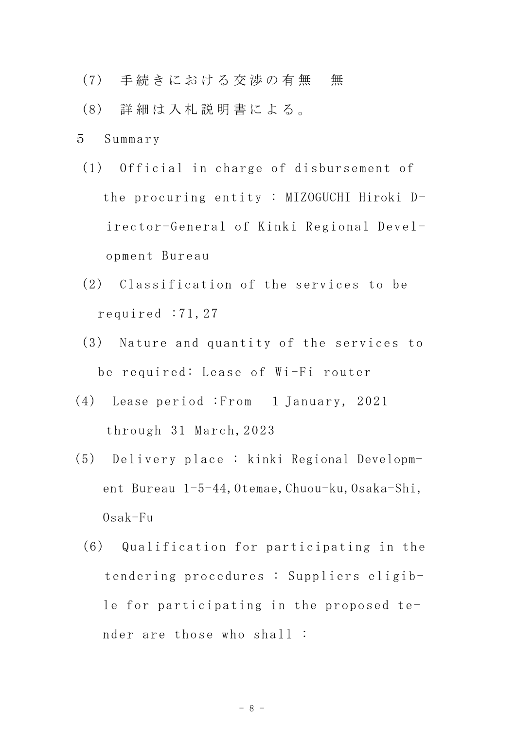- (7) 手続きにおける交渉の有無 無
- (8) 詳 細 は 入 札 説 明 書 に よ る 。
- 5 Summary
- (1) Official in charge of disbursement of the procuring entity : MIZOGUCHI Hiroki Director-General of Kinki Regional Development Bureau
- (2) Classification of the services to be required :71,27
- (3) Nature and quantity of the services to be required: Lease of Wi-Fi router
- (4) Lease period :From 1 January, 2021 through 31 March,2023
- (5) Delivery place : kinki Regional Development Bureau 1-5-44, Otemae, Chuou-ku, Osaka-Shi,  $0$ sak-Fu
	- (6) Qualification for participating in the tendering procedures : Suppliers eligible for participating in the proposed tender are those who shall :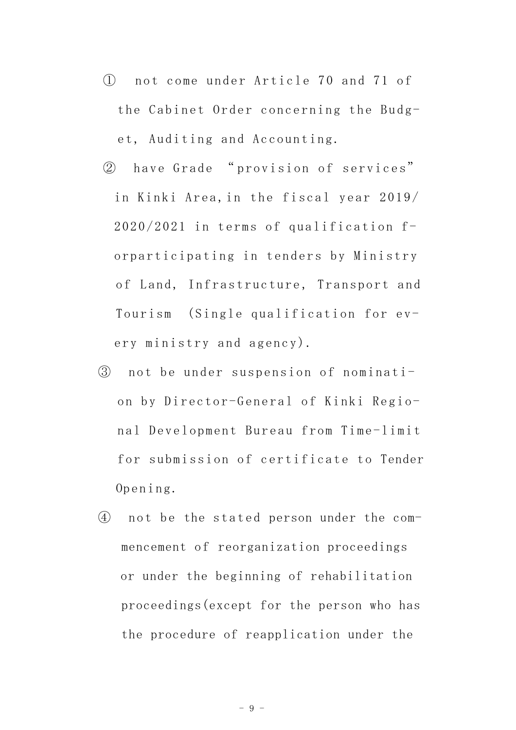- ① not come under Article 70 and 71 of the Cabinet Order concerning the Budget, Auditing and Accounting.
- ② have Grade " provision of services" in Kinki Area,in the fiscal year 2019/ 2020/2021 in terms of qualification forparticipating in tenders by Ministry of Land, Infrastructure, Transport and Tourism (Single qualification for every ministry and agency).
- ③ not be under suspension of nomination by Director-General of Kinki Regional Development Bureau from Time-limit for submission of certificate to Tender Opening.
- ④ not be the stated person under the commencement of reorganization proceedings or under the beginning of rehabilitation proceedings(except for the person who has the procedure of reapplication under the

- 9 -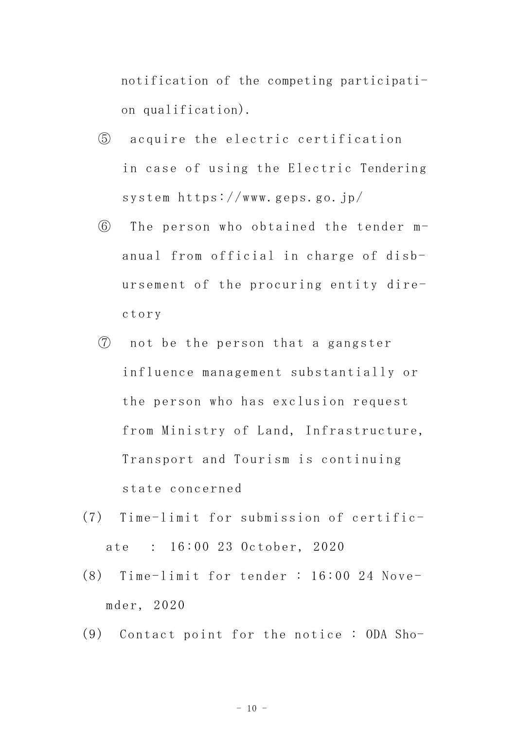notification of the competing participation qualification).

- ⑤ acquire the electric certification in case of using the Electric Tendering system https://www.geps.go.jp/
- ⑥ The person who obtained the tender manual from official in charge of disbursement of the procuring entity directory
- ⑦ not be the person that a gangster influence management substantially or the person who has exclusion request from Ministry of Land, Infrastructure, Transport and Tourism is continuing state concerned
- (7) Time-limit for submission of certificate : 16:00 23 October, 2020
- (8) Time-limit for tender : 16:00 24 Novemder, 2020
- (9) Contact point for the notice : ODA Sho-